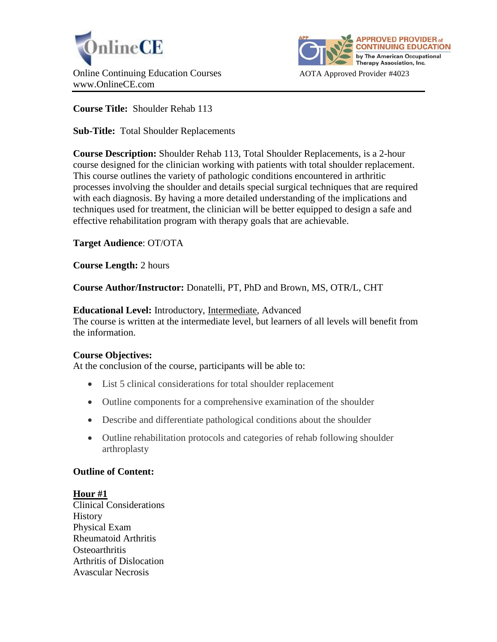



**Course Title:** Shoulder Rehab 113

**Sub-Title:** Total Shoulder Replacements

**Course Description:** Shoulder Rehab 113, Total Shoulder Replacements, is a 2-hour course designed for the clinician working with patients with total shoulder replacement. This course outlines the variety of pathologic conditions encountered in arthritic processes involving the shoulder and details special surgical techniques that are required with each diagnosis. By having a more detailed understanding of the implications and techniques used for treatment, the clinician will be better equipped to design a safe and effective rehabilitation program with therapy goals that are achievable.

# **Target Audience**: OT/OTA

**Course Length:** 2 hours

**Course Author/Instructor:** Donatelli, PT, PhD and Brown, MS, OTR/L, CHT

**Educational Level:** Introductory, Intermediate, Advanced The course is written at the intermediate level, but learners of all levels will benefit from the information.

# **Course Objectives:**

At the conclusion of the course, participants will be able to:

- List 5 clinical considerations for total shoulder replacement
- Outline components for a comprehensive examination of the shoulder
- Describe and differentiate pathological conditions about the shoulder
- Outline rehabilitation protocols and categories of rehab following shoulder arthroplasty

# **Outline of Content:**

**Hour #1** Clinical Considerations **History** Physical Exam Rheumatoid Arthritis **Osteoarthritis** Arthritis of Dislocation Avascular Necrosis